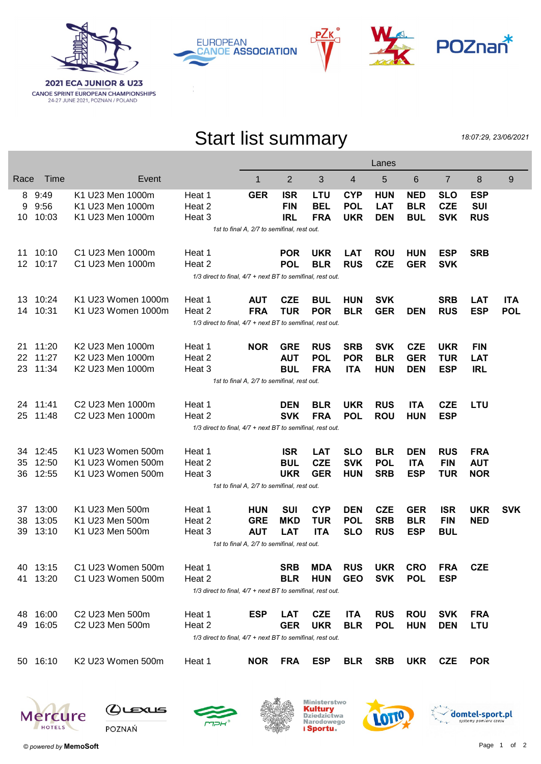

**EUROPEAN CANOE ASSOCIATION** 





## Start list summary

18:07:29, 23/06/2021

|                                             |                                                            |                                                            | Lanes  |                                             |            |            |            |            |            |                |            |            |
|---------------------------------------------|------------------------------------------------------------|------------------------------------------------------------|--------|---------------------------------------------|------------|------------|------------|------------|------------|----------------|------------|------------|
| Race                                        | Time                                                       | Event                                                      |        | 1                                           | 2          | 3          | 4          | 5          | 6          | $\overline{7}$ | 8          | 9          |
| 8                                           | 9:49                                                       | K1 U23 Men 1000m                                           | Heat 1 | <b>GER</b>                                  | <b>ISR</b> | LTU        | <b>CYP</b> | <b>HUN</b> | <b>NED</b> | <b>SLO</b>     | <b>ESP</b> |            |
| 9                                           | 9:56                                                       | K1 U23 Men 1000m                                           | Heat 2 |                                             | <b>FIN</b> | <b>BEL</b> | <b>POL</b> | <b>LAT</b> | <b>BLR</b> | <b>CZE</b>     | <b>SUI</b> |            |
| 10.                                         | 10:03                                                      | K1 U23 Men 1000m                                           | Heat 3 |                                             | <b>IRL</b> | <b>FRA</b> | <b>UKR</b> | <b>DEN</b> | <b>BUL</b> | <b>SVK</b>     | <b>RUS</b> |            |
|                                             | 1st to final A, 2/7 to semifinal, rest out.                |                                                            |        |                                             |            |            |            |            |            |                |            |            |
| 11                                          | 10:10                                                      | C1 U23 Men 1000m                                           | Heat 1 |                                             | <b>POR</b> | <b>UKR</b> | <b>LAT</b> | <b>ROU</b> | <b>HUN</b> | <b>ESP</b>     | <b>SRB</b> |            |
| 12 <sup>2</sup>                             | 10:17                                                      | C1 U23 Men 1000m                                           | Heat 2 |                                             | <b>POL</b> | <b>BLR</b> | <b>RUS</b> | <b>CZE</b> | <b>GER</b> | <b>SVK</b>     |            |            |
|                                             | 1/3 direct to final, 4/7 + next BT to semifinal, rest out. |                                                            |        |                                             |            |            |            |            |            |                |            |            |
| 13                                          | 10:24                                                      | K1 U23 Women 1000m                                         | Heat 1 | <b>AUT</b>                                  | <b>CZE</b> | <b>BUL</b> | <b>HUN</b> | <b>SVK</b> |            | <b>SRB</b>     | <b>LAT</b> | <b>ITA</b> |
| 14                                          | 10:31                                                      | K1 U23 Women 1000m                                         | Heat 2 | <b>FRA</b>                                  | <b>TUR</b> | <b>POR</b> | <b>BLR</b> | <b>GER</b> | <b>DEN</b> | <b>RUS</b>     | <b>ESP</b> | <b>POL</b> |
|                                             |                                                            | 1/3 direct to final, 4/7 + next BT to semifinal, rest out. |        |                                             |            |            |            |            |            |                |            |            |
| 21                                          | 11:20                                                      | K2 U23 Men 1000m                                           | Heat 1 | <b>NOR</b>                                  | <b>GRE</b> | <b>RUS</b> | <b>SRB</b> | <b>SVK</b> | <b>CZE</b> | <b>UKR</b>     | <b>FIN</b> |            |
| 22                                          | 11:27                                                      | K2 U23 Men 1000m                                           | Heat 2 |                                             | <b>AUT</b> | <b>POL</b> | <b>POR</b> | <b>BLR</b> | <b>GER</b> | <b>TUR</b>     | <b>LAT</b> |            |
| 23                                          | 11:34                                                      | K2 U23 Men 1000m                                           | Heat 3 |                                             | <b>BUL</b> | <b>FRA</b> | <b>ITA</b> | <b>HUN</b> | <b>DEN</b> | <b>ESP</b>     | <b>IRL</b> |            |
| 1st to final A, 2/7 to semifinal, rest out. |                                                            |                                                            |        |                                             |            |            |            |            |            |                |            |            |
|                                             | 24 11:41                                                   | C2 U23 Men 1000m                                           | Heat 1 |                                             | <b>DEN</b> | <b>BLR</b> | <b>UKR</b> | <b>RUS</b> | <b>ITA</b> | <b>CZE</b>     | <b>LTU</b> |            |
| 25                                          | 11:48                                                      | C2 U23 Men 1000m                                           | Heat 2 |                                             | <b>SVK</b> | <b>FRA</b> | <b>POL</b> | <b>ROU</b> | <b>HUN</b> | <b>ESP</b>     |            |            |
|                                             | 1/3 direct to final, 4/7 + next BT to semifinal, rest out. |                                                            |        |                                             |            |            |            |            |            |                |            |            |
| 34                                          | 12:45                                                      | K1 U23 Women 500m                                          | Heat 1 |                                             | <b>ISR</b> | <b>LAT</b> | <b>SLO</b> | <b>BLR</b> | <b>DEN</b> | <b>RUS</b>     | <b>FRA</b> |            |
| 35                                          | 12:50                                                      | K1 U23 Women 500m                                          | Heat 2 |                                             | <b>BUL</b> | <b>CZE</b> | <b>SVK</b> | <b>POL</b> | <b>ITA</b> | <b>FIN</b>     | <b>AUT</b> |            |
| 36                                          | 12:55                                                      | K1 U23 Women 500m                                          | Heat 3 |                                             | <b>UKR</b> | <b>GER</b> | <b>HUN</b> | <b>SRB</b> | <b>ESP</b> | <b>TUR</b>     | <b>NOR</b> |            |
|                                             |                                                            |                                                            |        | 1st to final A, 2/7 to semifinal, rest out. |            |            |            |            |            |                |            |            |
| 37                                          | 13:00                                                      | K1 U23 Men 500m                                            | Heat 1 | <b>HUN</b>                                  | <b>SUI</b> | <b>CYP</b> | <b>DEN</b> | <b>CZE</b> | <b>GER</b> | <b>ISR</b>     | <b>UKR</b> | <b>SVK</b> |
| 38                                          | 13:05                                                      | K1 U23 Men 500m                                            | Heat 2 | <b>GRE</b>                                  | <b>MKD</b> | <b>TUR</b> | <b>POL</b> | <b>SRB</b> | <b>BLR</b> | <b>FIN</b>     | <b>NED</b> |            |
| 39                                          | 13:10                                                      | K1 U23 Men 500m                                            | Heat 3 | <b>AUT</b>                                  | <b>LAT</b> | <b>ITA</b> | <b>SLO</b> | <b>RUS</b> | <b>ESP</b> | <b>BUL</b>     |            |            |
|                                             | 1st to final A, 2/7 to semifinal, rest out.                |                                                            |        |                                             |            |            |            |            |            |                |            |            |
|                                             | 40 13:15                                                   | C1 U23 Women 500m                                          | Heat 1 |                                             | <b>SRB</b> | MDA        | <b>RUS</b> | <b>UKR</b> | <b>CRO</b> | <b>FRA</b>     | <b>CZE</b> |            |
|                                             | 41 13:20                                                   | C1 U23 Women 500m                                          | Heat 2 |                                             | <b>BLR</b> | <b>HUN</b> | <b>GEO</b> | <b>SVK</b> | <b>POL</b> | <b>ESP</b>     |            |            |
|                                             |                                                            | 1/3 direct to final, 4/7 + next BT to semifinal, rest out. |        |                                             |            |            |            |            |            |                |            |            |
|                                             | 48 16:00                                                   | C2 U23 Men 500m                                            | Heat 1 | <b>ESP</b>                                  | <b>LAT</b> | <b>CZE</b> | <b>ITA</b> | <b>RUS</b> | <b>ROU</b> | <b>SVK</b>     | <b>FRA</b> |            |
|                                             | 49 16:05                                                   | C2 U23 Men 500m                                            | Heat 2 |                                             | <b>GER</b> | <b>UKR</b> | <b>BLR</b> | <b>POL</b> | <b>HUN</b> | <b>DEN</b>     | <b>LTU</b> |            |
|                                             | 1/3 direct to final, 4/7 + next BT to semifinal, rest out. |                                                            |        |                                             |            |            |            |            |            |                |            |            |
|                                             | 50 16:10                                                   | K2 U23 Women 500m                                          | Heat 1 | <b>NOR</b>                                  | FRA        | ESP        | <b>BLR</b> | SRB        | <b>UKR</b> | <b>CZE</b>     | <b>POR</b> |            |
|                                             |                                                            |                                                            |        |                                             |            |            |            |            |            |                |            |            |





 $Q$